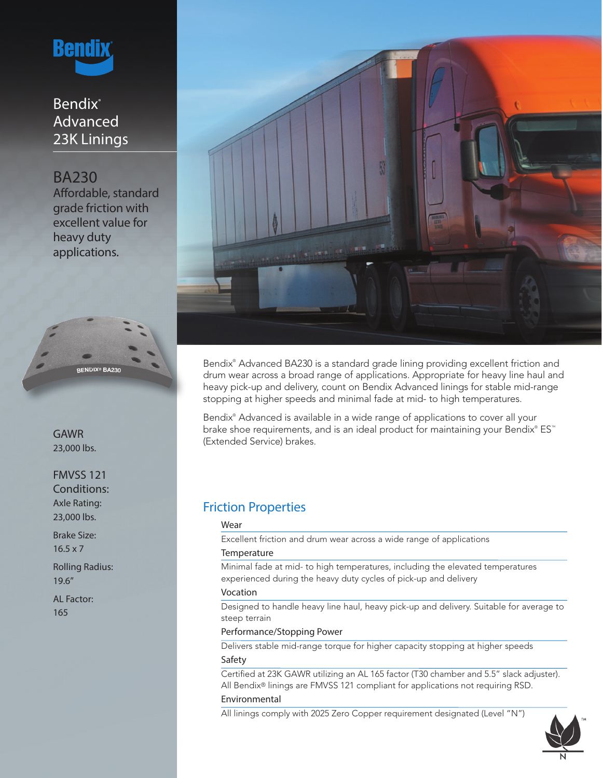

# Bendix<sup>®</sup> Advanced 23K Linings

BA230 Affordable, standard grade friction with excellent value for heavy duty applications.



GAWR 23,000 lbs.

FMVSS 121 Conditions: Axle Rating: 23,000 lbs.

Brake Size: 16.5 x 7

Rolling Radius: 19.6"

AL Factor: 165



Bendix® Advanced BA230 is a standard grade lining providing excellent friction and drum wear across a broad range of applications. Appropriate for heavy line haul and heavy pick-up and delivery, count on Bendix Advanced linings for stable mid-range stopping at higher speeds and minimal fade at mid- to high temperatures.

Bendix® Advanced is available in a wide range of applications to cover all your brake shoe requirements, and is an ideal product for maintaining your Bendix® ES™ (Extended Service) brakes.

# Friction Properties

## Wear

Excellent friction and drum wear across a wide range of applications

### **Temperature**

Minimal fade at mid- to high temperatures, including the elevated temperatures experienced during the heavy duty cycles of pick-up and delivery

### Vocation

Designed to handle heavy line haul, heavy pick-up and delivery. Suitable for average to steep terrain

## Performance/Stopping Power

Delivers stable mid-range torque for higher capacity stopping at higher speeds Safety

Certified at 23K GAWR utilizing an AL 165 factor (T30 chamber and 5.5" slack adjuster). All Bendix® linings are FMVSS 121 compliant for applications not requiring RSD.

## Environmental

All linings comply with 2025 Zero Copper requirement designated (Level "N")